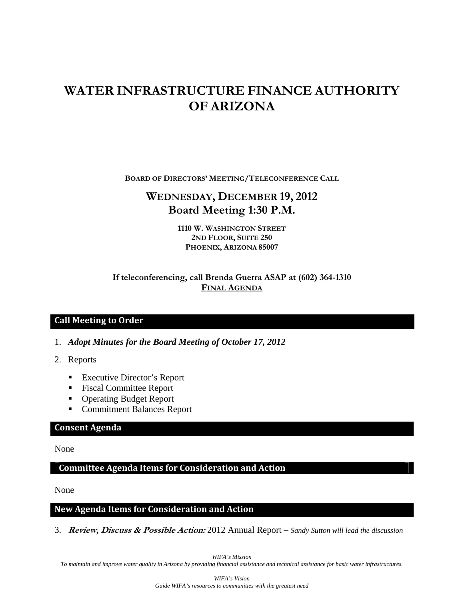# **WATER INFRASTRUCTURE FINANCE AUTHORITY OF ARIZONA**

**BOARD OF DIRECTORS' MEETING/TELECONFERENCE CALL**

## **WEDNESDAY, DECEMBER 19, 2012 Board Meeting 1:30 P.M.**

**1110 W. WASHINGTON STREET 2ND FLOOR, SUITE 250 PHOENIX, ARIZONA 85007** 

### **If teleconferencing, call Brenda Guerra ASAP at (602) 364-1310 FINAL AGENDA**

### **Call Meeting to Order**

- 1. *Adopt Minutes for the Board Meeting of October 17, 2012*
- 2. Reports
	- Executive Director's Report
	- **Fiscal Committee Report**
	- Operating Budget Report
	- Commitment Balances Report

#### **Consent Agenda**

None

### **Committee Agenda Items for Consideration and Action**

None

#### **New Agenda Items for Consideration and Action**

3. **Review, Discuss & Possible Action:** 2012 Annual Report – *Sandy Sutton will lead the discussion* 

*WIFA's Mission* 

*To maintain and improve water quality in Arizona by providing financial assistance and technical assistance for basic water infrastructures.*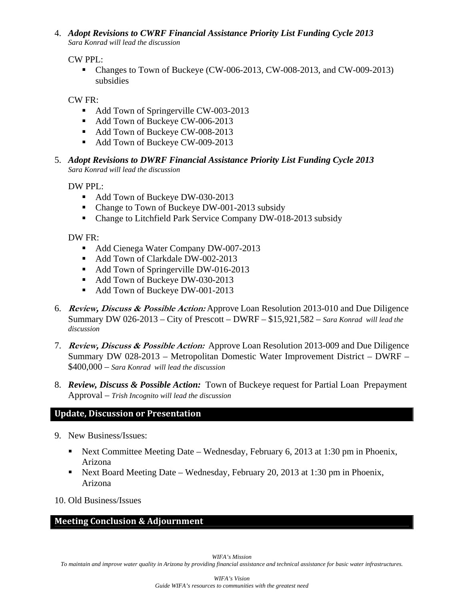4. *Adopt Revisions to CWRF Financial Assistance Priority List Funding Cycle 2013 Sara Konrad will lead the discussion*

CW PPL:

• Changes to Town of Buckeye (CW-006-2013, CW-008-2013, and CW-009-2013) subsidies

CW FR:

- Add Town of Springerville CW-003-2013
- Add Town of Buckeye CW-006-2013
- Add Town of Buckeye CW-008-2013
- Add Town of Buckeye CW-009-2013
- 5. *Adopt Revisions to DWRF Financial Assistance Priority List Funding Cycle 2013 Sara Konrad will lead the discussion*

DW PPL:

- Add Town of Buckeye DW-030-2013
- Change to Town of Buckeye DW-001-2013 subsidy
- Change to Litchfield Park Service Company DW-018-2013 subsidy

DW FR:

- Add Cienega Water Company DW-007-2013
- Add Town of Clarkdale DW-002-2013
- Add Town of Springerville DW-016-2013
- Add Town of Buckeye DW-030-2013
- Add Town of Buckeye DW-001-2013
- 6. **Review, Discuss & Possible Action:** Approve Loan Resolution 2013-010 and Due Diligence Summary DW 026-2013 – City of Prescott – DWRF – \$15,921,582 – *Sara Konrad will lead the discussion*
- 7. **Review, Discuss & Possible Action:** Approve Loan Resolution 2013-009 and Due Diligence Summary DW 028-2013 – Metropolitan Domestic Water Improvement District – DWRF – \$400,000 – *Sara Konrad will lead the discussion*
- 8. *Review, Discuss & Possible Action:* Town of Buckeye request for Partial Loan Prepayment Approval – *Trish Incognito will lead the discussion*

### **Update, Discussion or Presentation**

- 9. New Business/Issues:
	- Next Committee Meeting Date Wednesday, February 6, 2013 at 1:30 pm in Phoenix, Arizona
	- Next Board Meeting Date Wednesday, February 20, 2013 at 1:30 pm in Phoenix, Arizona

10. Old Business/Issues

### **Meeting Conclusion & Adjournment**

*WIFA's Mission* 

*To maintain and improve water quality in Arizona by providing financial assistance and technical assistance for basic water infrastructures.*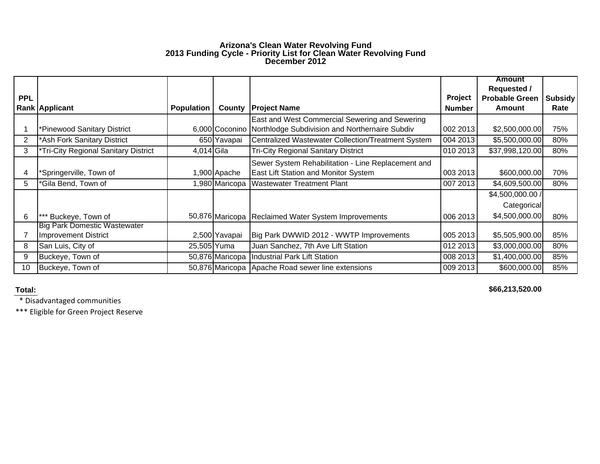#### **Arizona's Clean Water Revolving Fund 2013 Funding Cycle - Priority List for Clean Water Revolving Fund December 2012**

|            |                                      |                   |                 |                                                               |               | <b>Amount</b>         |                |
|------------|--------------------------------------|-------------------|-----------------|---------------------------------------------------------------|---------------|-----------------------|----------------|
|            |                                      |                   |                 |                                                               |               | <b>Requested /</b>    |                |
| <b>PPL</b> |                                      |                   |                 |                                                               | Project       | <b>Probable Green</b> | <b>Subsidy</b> |
|            | <b>Rank Applicant</b>                | <b>Population</b> | County          | <b>Project Name</b>                                           | <b>Number</b> | Amount                | Rate           |
|            |                                      |                   |                 | East and West Commercial Sewering and Sewering                |               |                       |                |
|            | *Pinewood Sanitary District          |                   |                 | 6,000 Coconino Northlodge Subdivision and Northernaire Subdiv | 002 2013      | \$2,500,000.00        | 75%            |
| 2          | *Ash Fork Sanitary District          |                   | 650 Yavapai     | Centralized Wastewater Collection/Treatment System            | 004 2013      | \$5,500,000.00        | 80%            |
| 3          | *Tri-City Regional Sanitary District | 4,014 Gila        |                 | <b>Tri-City Regional Sanitary District</b>                    | 010 2013      | \$37,998,120.00       | 80%            |
|            |                                      |                   |                 | Sewer System Rehabilitation - Line Replacement and            |               |                       |                |
| 4          | Springerville, Town of               |                   | 1,900 Apache    | East Lift Station and Monitor System                          | 003 2013      | \$600,000.00          | 70%            |
| 5          | 'Gila Bend, Town of                  |                   | ,980 Maricopa   | <b>Wastewater Treatment Plant</b>                             | 007 2013      | \$4,609,500.00        | 80%            |
|            |                                      |                   |                 |                                                               |               | \$4,500,000.00 /      |                |
|            |                                      |                   |                 |                                                               |               | Categorical           |                |
| 6          | Buckeye, Town of                     |                   |                 | 50,876 Maricopa Reclaimed Water System Improvements           | 006 2013      | \$4,500,000.00        | 80%            |
|            | <b>Big Park Domestic Wastewater</b>  |                   |                 |                                                               |               |                       |                |
|            | Improvement District                 |                   | 2,500 Yavapai   | Big Park DWWID 2012 - WWTP Improvements                       | 005 2013      | \$5,505,900.00        | 85%            |
| 8          | San Luis, City of                    | 25,505 Yuma       |                 | Juan Sanchez, 7th Ave Lift Station                            | 012 2013      | \$3,000,000.00        | 80%            |
| 9          | Buckeye, Town of                     |                   | 50,876 Maricopa | <b>Industrial Park Lift Station</b>                           | 008 2013      | \$1,400,000.00        | 85%            |
| 10         | Buckeye, Town of                     |                   | 50,876 Maricopa | Apache Road sewer line extensions                             | 009 2013      | \$600,000.00          | 85%            |

#### **Total:**

**\$66,213,520.00** 

\* Disadvantaged communities

\*\*\* Eligible for Green Project Reserve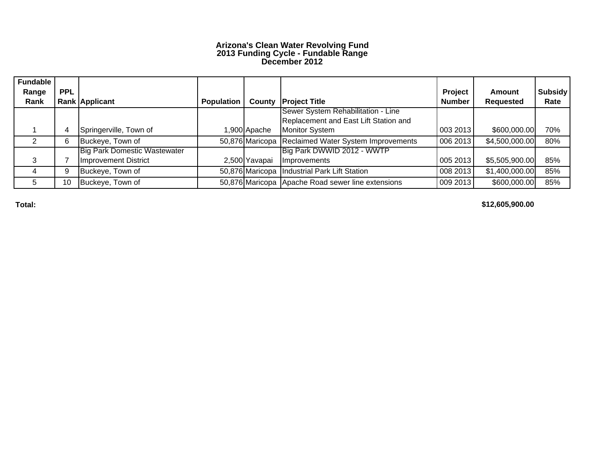#### **Arizona's Clean Water Revolving Fund 2013 Funding Cycle - Fundable Range December 2012**

| <b>Fundable</b> |            |                                     |                   |               |                                                     |               |                  |         |
|-----------------|------------|-------------------------------------|-------------------|---------------|-----------------------------------------------------|---------------|------------------|---------|
| Range           | <b>PPL</b> |                                     |                   |               |                                                     | Project       | <b>Amount</b>    | Subsidy |
| Rank            |            | Rank Applicant                      | <b>Population</b> |               | <b>County Project Title</b>                         | <b>Number</b> | <b>Requested</b> | Rate    |
|                 |            |                                     |                   |               | Sewer System Rehabilitation - Line                  |               |                  |         |
|                 |            |                                     |                   |               | Replacement and East Lift Station and               |               |                  |         |
|                 |            | Springerville, Town of              |                   | 900 Apache    | <b>Monitor System</b>                               | 003 2013      | \$600,000.00     | 70%     |
|                 | 6          | Buckeye, Town of                    |                   |               | 50,876 Maricopa Reclaimed Water System Improvements | 006 2013      | \$4,500,000.00   | 80%     |
|                 |            | <b>Big Park Domestic Wastewater</b> |                   |               | Big Park DWWID 2012 - WWTP                          |               |                  |         |
|                 |            | Improvement District                |                   | 2,500 Yavapai | <b>Improvements</b>                                 | 005 2013      | \$5,505,900.00   | 85%     |
|                 | 9          | Buckeye, Town of                    |                   |               | 50,876 Maricopa   Industrial Park Lift Station      | 008 2013      | \$1,400,000.00   | 85%     |
|                 | 10         | Buckeye, Town of                    |                   |               | 50,876 Maricopa Apache Road sewer line extensions   | 009 2013      | \$600,000.00     | 85%     |

**Total:**

**\$12,605,900.00**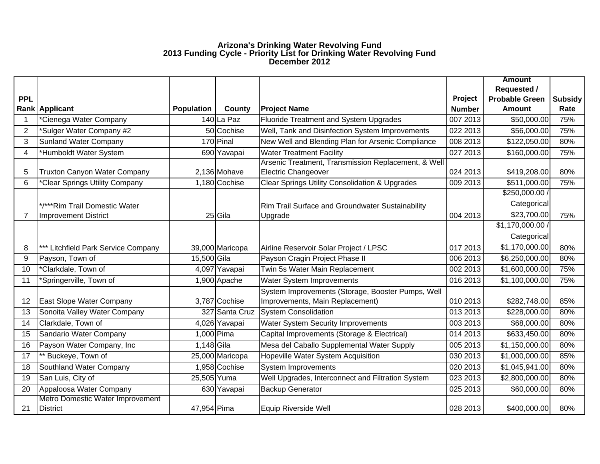#### **Arizona's Drinking Water Revolving Fund 2013 Funding Cycle - Priority List for Drinking Water Revolving Fund December 2012**

|                |                                              |                   |                 |                                                           |               | <b>Amount</b>         |                |
|----------------|----------------------------------------------|-------------------|-----------------|-----------------------------------------------------------|---------------|-----------------------|----------------|
|                |                                              |                   |                 |                                                           |               | <b>Requested /</b>    |                |
| <b>PPL</b>     |                                              |                   |                 |                                                           | Project       | <b>Probable Green</b> | <b>Subsidy</b> |
|                | Rank Applicant                               | <b>Population</b> | <b>County</b>   | <b>Project Name</b>                                       | <b>Number</b> | <b>Amount</b>         | Rate           |
|                | *Cienega Water Company                       |                   | 140 La Paz      | <b>Fluoride Treatment and System Upgrades</b>             | 007 2013      | \$50,000.00           | 75%            |
| $\overline{2}$ | *Sulger Water Company #2                     |                   | 50 Cochise      | Well, Tank and Disinfection System Improvements           | 022 2013      | \$56,000.00           | 75%            |
| 3              | <b>Sunland Water Company</b>                 |                   | 170 Pinal       | New Well and Blending Plan for Arsenic Compliance         | 008 2013      | \$122,050.00          | 80%            |
| 4              | *Humboldt Water System                       |                   | 690 Yavapai     | <b>Water Treatment Facility</b>                           | 027 2013      | \$160,000.00          | 75%            |
|                |                                              |                   |                 | Arsenic Treatment, Transmission Replacement, & Well       |               |                       |                |
| 5              | <b>Truxton Canyon Water Company</b>          |                   | 2,136 Mohave    | <b>Electric Changeover</b>                                | 024 2013      | \$419,208.00          | 80%            |
| 6              | *Clear Springs Utility Company               |                   | 1,180 Cochise   | <b>Clear Springs Utility Consolidation &amp; Upgrades</b> | 009 2013      | \$511,000.00          | 75%            |
|                |                                              |                   |                 |                                                           |               | \$250,000.00 /        |                |
|                | */***Rim Trail Domestic Water                |                   |                 | Rim Trail Surface and Groundwater Sustainability          |               | Categorical           |                |
| $\overline{7}$ | <b>Improvement District</b>                  |                   | 25 Gila         | Upgrade                                                   | 004 2013      | \$23,700.00           | 75%            |
|                |                                              |                   |                 |                                                           |               | \$1,170,000.00/       |                |
|                |                                              |                   |                 |                                                           |               | Categorical           |                |
| 8              | *** Litchfield Park Service Company          |                   | 39,000 Maricopa | Airline Reservoir Solar Project / LPSC                    | 017 2013      | \$1,170,000.00        | 80%            |
| 9              | Payson, Town of                              | 15,500 Gila       |                 | Payson Cragin Project Phase II                            | 006 2013      | \$6,250,000.00        | 80%            |
| 10             | *Clarkdale, Town of                          |                   | 4,097 Yavapai   | Twin 5s Water Main Replacement                            | 002 2013      | \$1,600,000.00        | 75%            |
| 11             | *Springerville, Town of                      |                   | 1,900 Apache    | <b>Water System Improvements</b>                          | 016 2013      | \$1,100,000.00        | 75%            |
|                |                                              |                   |                 | System Improvements (Storage, Booster Pumps, Well         |               |                       |                |
| 12             | East Slope Water Company                     |                   | 3,787 Cochise   | Improvements, Main Replacement)                           | 010 2013      | \$282,748.00          | 85%            |
| 13             | Sonoita Valley Water Company                 |                   | 327 Santa Cruz  | <b>System Consolidation</b>                               | 013 2013      | \$228,000.00          | 80%            |
| 14             | Clarkdale, Town of                           |                   | 4,026 Yavapai   | <b>Water System Security Improvements</b>                 | 003 2013      | \$68,000.00           | 80%            |
| 15             | Sandario Water Company                       | 1,000 Pima        |                 | Capital Improvements (Storage & Electrical)               | 014 2013      | \$633,450.00          | 80%            |
| 16             | Payson Water Company, Inc                    | 1,148 Gila        |                 | Mesa del Caballo Supplemental Water Supply                | 005 2013      | \$1,150,000.00        | 80%            |
| 17             | ** Buckeye, Town of                          |                   | 25,000 Maricopa | Hopeville Water System Acquisition                        | 030 2013      | \$1,000,000.00        | 85%            |
| 18             | Southland Water Company                      |                   | 1,958 Cochise   | <b>System Improvements</b>                                | 020 2013      | \$1,045,941.00        | 80%            |
| 19             | San Luis, City of                            | 25,505 Yuma       |                 | Well Upgrades, Interconnect and Filtration System         | 023 2013      | \$2,800,000.00        | 80%            |
| 20             | Appaloosa Water Company                      |                   | 630 Yavapai     | <b>Backup Generator</b>                                   | 025 2013      | \$60,000.00           | 80%            |
| 21             | Metro Domestic Water Improvement<br>District | 47,954 Pima       |                 | Equip Riverside Well                                      | 028 2013      | \$400,000.00          | 80%            |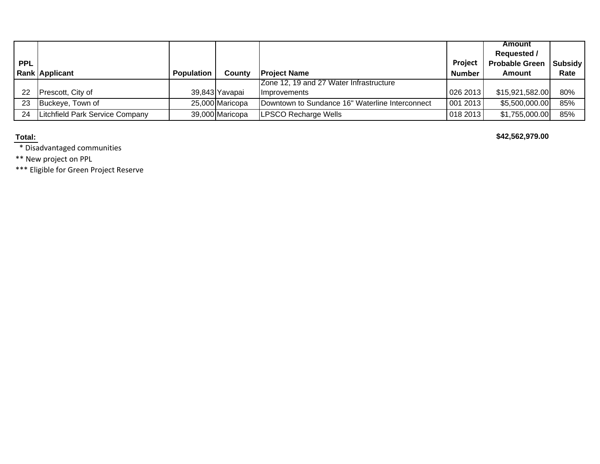|            |                                 |                   |                 |                                                 |                | Amount<br><b>Requested /</b> |                |
|------------|---------------------------------|-------------------|-----------------|-------------------------------------------------|----------------|------------------------------|----------------|
| <b>PPL</b> |                                 |                   |                 |                                                 | <b>Project</b> | <b>Probable Green</b>        | <b>Subsidy</b> |
|            | <b>Rank Applicant</b>           | <b>Population</b> | County          | <b>Project Name</b>                             | <b>Number</b>  | Amount                       | Rate           |
|            |                                 |                   |                 | Zone 12, 19 and 27 Water Infrastructure         |                |                              |                |
| 22         | Prescott, City of               |                   | 39,843 Yavapai  | <b>Ilmprovements</b>                            | 026 2013       | \$15,921,582.00              | 80%            |
| 23         | Buckeye, Town of                |                   | 25,000 Maricopa | Downtown to Sundance 16" Waterline Interconnect | 001 2013       | \$5,500,000.00               | 85%            |
| 24         | Litchfield Park Service Company |                   | 39,000 Maricopa | <b>LPSCO Recharge Wells</b>                     | 018 2013       | \$1,755,000.00               | 85%            |

**Total:**

**\$42,562,979.00** 

\* Disadvantaged communities

\*\* New project on PPL

\*\*\* Eligible for Green Project Reserve